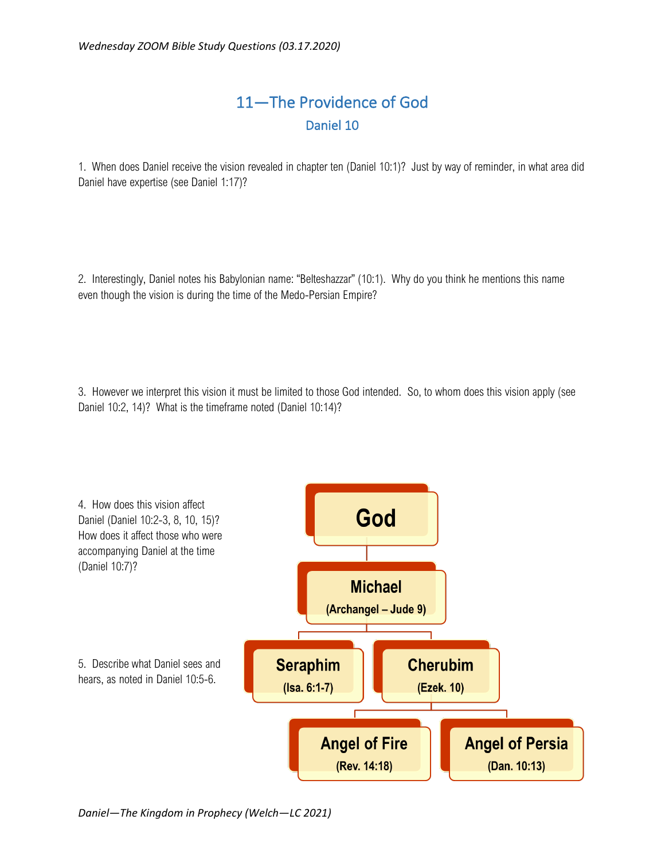## 11—The Providence of God Daniel 10

1. When does Daniel receive the vision revealed in chapter ten (Daniel 10:1)? Just by way of reminder, in what area did Daniel have expertise (see Daniel 1:17)?

2. Interestingly, Daniel notes his Babylonian name: "Belteshazzar" (10:1). Why do you think he mentions this name even though the vision is during the time of the Medo-Persian Empire?

3. However we interpret this vision it must be limited to those God intended. So, to whom does this vision apply (see Daniel 10:2, 14)? What is the timeframe noted (Daniel 10:14)?